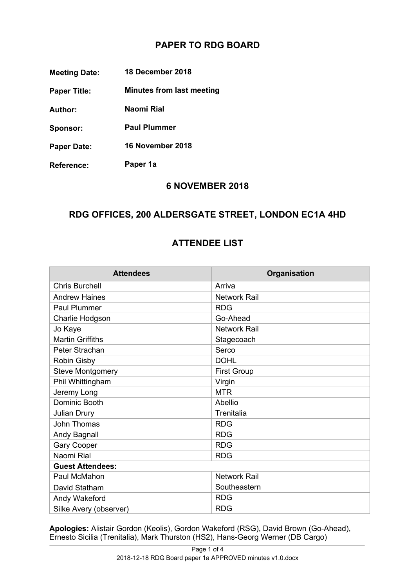# **PAPER TO RDG BOARD**

**Meeting Date: 18 December 2018** 

**Paper Title: Minutes from last meeting** 

**Author: Naomi Rial** 

**Sponsor: Paul Plummer**

**Paper Date: 16 November 2018** 

**Reference: Paper 1a**

#### **6 NOVEMBER 2018**

### **RDG OFFICES, 200 ALDERSGATE STREET, LONDON EC1A 4HD**

# **ATTENDEE LIST**

| <b>Attendees</b>         | Organisation        |
|--------------------------|---------------------|
| <b>Chris Burchell</b>    | Arriva              |
| <b>Andrew Haines</b>     | <b>Network Rail</b> |
| Paul Plummer             | <b>RDG</b>          |
| Charlie Hodgson          | Go-Ahead            |
| Jo Kaye                  | <b>Network Rail</b> |
| <b>Martin Griffiths</b>  | Stagecoach          |
| Peter Strachan           | Serco               |
| Robin Gisby              | <b>DOHL</b>         |
| <b>Steve Montgomery</b>  | <b>First Group</b>  |
| Phil Whittingham         | Virgin              |
| Jeremy Long              | <b>MTR</b>          |
| Dominic Booth            | Abellio             |
| <b>Julian Drury</b>      | Trenitalia          |
| <b>John Thomas</b>       | <b>RDG</b>          |
| Andy Bagnall             | <b>RDG</b>          |
| <b>Gary Cooper</b>       | <b>RDG</b>          |
| Naomi Rial<br><b>RDG</b> |                     |
| <b>Guest Attendees:</b>  |                     |
| Paul McMahon             | <b>Network Rail</b> |
| David Statham            | Southeastern        |
| Andy Wakeford            | <b>RDG</b>          |
| Silke Avery (observer)   | <b>RDG</b>          |

**Apologies:** Alistair Gordon (Keolis), Gordon Wakeford (RSG), David Brown (Go-Ahead), Ernesto Sicilia (Trenitalia), Mark Thurston (HS2), Hans-Georg Werner (DB Cargo)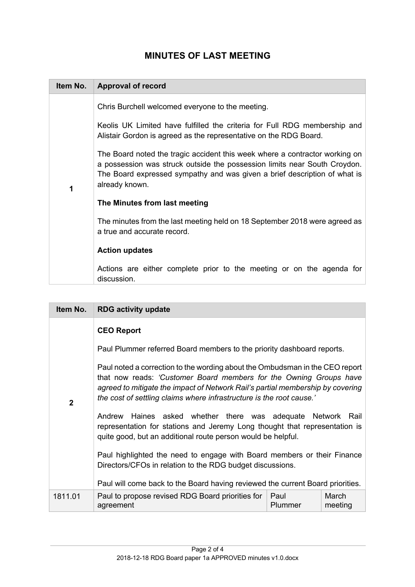# **MINUTES OF LAST MEETING**

| Item No. | <b>Approval of record</b>                                                                                                                                                                                                                               |
|----------|---------------------------------------------------------------------------------------------------------------------------------------------------------------------------------------------------------------------------------------------------------|
| 1        | Chris Burchell welcomed everyone to the meeting.                                                                                                                                                                                                        |
|          | Keolis UK Limited have fulfilled the criteria for Full RDG membership and<br>Alistair Gordon is agreed as the representative on the RDG Board.                                                                                                          |
|          | The Board noted the tragic accident this week where a contractor working on<br>a possession was struck outside the possession limits near South Croydon.<br>The Board expressed sympathy and was given a brief description of what is<br>already known. |
|          | The Minutes from last meeting                                                                                                                                                                                                                           |
|          | The minutes from the last meeting held on 18 September 2018 were agreed as<br>a true and accurate record.                                                                                                                                               |
|          | <b>Action updates</b>                                                                                                                                                                                                                                   |
|          | Actions are either complete prior to the meeting or on the agenda for<br>discussion.                                                                                                                                                                    |

| Item No.                                                                                                                                                                                                                                                                                                                                                                                                                      | <b>RDG activity update</b>                                                                                                                                                                                                                                                                                                                                                                                                     |                 |                  |
|-------------------------------------------------------------------------------------------------------------------------------------------------------------------------------------------------------------------------------------------------------------------------------------------------------------------------------------------------------------------------------------------------------------------------------|--------------------------------------------------------------------------------------------------------------------------------------------------------------------------------------------------------------------------------------------------------------------------------------------------------------------------------------------------------------------------------------------------------------------------------|-----------------|------------------|
| <b>CEO Report</b><br>Paul Plummer referred Board members to the priority dashboard reports.<br>Paul noted a correction to the wording about the Ombudsman in the CEO report<br>that now reads: 'Customer Board members for the Owning Groups have<br>agreed to mitigate the impact of Network Rail's partial membership by covering<br>the cost of settling claims where infrastructure is the root cause.'<br>$\overline{2}$ |                                                                                                                                                                                                                                                                                                                                                                                                                                |                 |                  |
|                                                                                                                                                                                                                                                                                                                                                                                                                               | Andrew Haines asked whether there was adequate Network<br>representation for stations and Jeremy Long thought that representation is<br>quite good, but an additional route person would be helpful.<br>Paul highlighted the need to engage with Board members or their Finance<br>Directors/CFOs in relation to the RDG budget discussions.<br>Paul will come back to the Board having reviewed the current Board priorities. |                 | Rail             |
| 1811.01                                                                                                                                                                                                                                                                                                                                                                                                                       | Paul to propose revised RDG Board priorities for<br>agreement                                                                                                                                                                                                                                                                                                                                                                  | Paul<br>Plummer | March<br>meeting |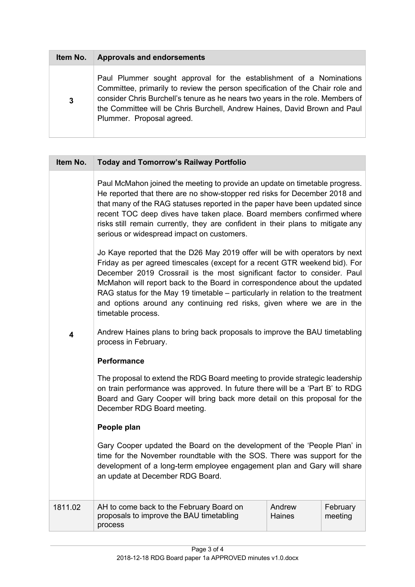| Item No.     | <b>Approvals and endorsements</b>                                                                                                                                                                                                                                                                                                                |
|--------------|--------------------------------------------------------------------------------------------------------------------------------------------------------------------------------------------------------------------------------------------------------------------------------------------------------------------------------------------------|
| $\mathbf{3}$ | Paul Plummer sought approval for the establishment of a Nominations<br>Committee, primarily to review the person specification of the Chair role and<br>consider Chris Burchell's tenure as he nears two years in the role. Members of<br>the Committee will be Chris Burchell, Andrew Haines, David Brown and Paul<br>Plummer. Proposal agreed. |

| Item No. | <b>Today and Tomorrow's Railway Portfolio</b>                                                                                                                                                                                                                                                                                                                                                                                                                                                         |                         |                     |
|----------|-------------------------------------------------------------------------------------------------------------------------------------------------------------------------------------------------------------------------------------------------------------------------------------------------------------------------------------------------------------------------------------------------------------------------------------------------------------------------------------------------------|-------------------------|---------------------|
|          | Paul McMahon joined the meeting to provide an update on timetable progress.<br>He reported that there are no show-stopper red risks for December 2018 and<br>that many of the RAG statuses reported in the paper have been updated since<br>recent TOC deep dives have taken place. Board members confirmed where<br>risks still remain currently, they are confident in their plans to mitigate any<br>serious or widespread impact on customers.                                                    |                         |                     |
|          | Jo Kaye reported that the D26 May 2019 offer will be with operators by next<br>Friday as per agreed timescales (except for a recent GTR weekend bid). For<br>December 2019 Crossrail is the most significant factor to consider. Paul<br>McMahon will report back to the Board in correspondence about the updated<br>RAG status for the May 19 timetable – particularly in relation to the treatment<br>and options around any continuing red risks, given where we are in the<br>timetable process. |                         |                     |
| 4        | Andrew Haines plans to bring back proposals to improve the BAU timetabling<br>process in February.                                                                                                                                                                                                                                                                                                                                                                                                    |                         |                     |
|          | <b>Performance</b>                                                                                                                                                                                                                                                                                                                                                                                                                                                                                    |                         |                     |
|          | The proposal to extend the RDG Board meeting to provide strategic leadership<br>on train performance was approved. In future there will be a 'Part B' to RDG<br>Board and Gary Cooper will bring back more detail on this proposal for the<br>December RDG Board meeting.                                                                                                                                                                                                                             |                         |                     |
|          | People plan                                                                                                                                                                                                                                                                                                                                                                                                                                                                                           |                         |                     |
|          | Gary Cooper updated the Board on the development of the 'People Plan' in<br>time for the November roundtable with the SOS. There was support for the<br>development of a long-term employee engagement plan and Gary will share<br>an update at December RDG Board.                                                                                                                                                                                                                                   |                         |                     |
| 1811.02  | AH to come back to the February Board on<br>proposals to improve the BAU timetabling<br>process                                                                                                                                                                                                                                                                                                                                                                                                       | Andrew<br><b>Haines</b> | February<br>meeting |
|          |                                                                                                                                                                                                                                                                                                                                                                                                                                                                                                       |                         |                     |